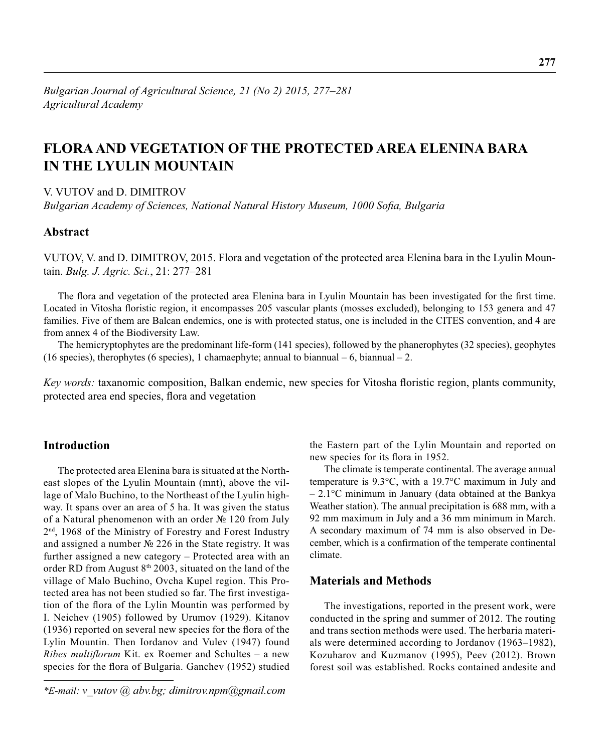# **FLORA AND VEGETATION OF THE PROTECTED AREA ELENINA BARA IN THE LYULIN MOUNTAIN**

V. VUTOV and D. DIMITROV

*Bulgarian Academy of Sciences, National Natural History Museum, 1000 Sofia, Bulgaria* 

# **Abstract**

VUTOV, V. and D. DIMITROV, 2015. Flora and vegetation of the protected area Elenina bara in the Lyulin Mountain. *Bulg. J. Agric. Sci.*, 21: 277–281

The flora and vegetation of the protected area Elenina bara in Lyulin Mountain has been investigated for the first time. Located in Vitosha floristic region, it encompasses 205 vascular plants (mosses excluded), belonging to 153 genera and 47 families. Five of them are Balcan endemics, one is with protected status, one is included in the CITES convention, and 4 are from annex 4 of the Biodiversity Law.

The hemicryptophytes are the predominant life-form (141 species), followed by the phanerophytes (32 species), geophytes (16 species), therophytes (6 species), 1 chamaephyte; annual to biannual – 6, biannual – 2.

*Key words:* taxanomic composition, Balkan endemic, new species for Vitosha floristic region, plants community, protected area end species, flora and vegetation

# **Introduction**

The protected area Elenina bara is situated at the Northeast slopes of the Lyulin Mountain (mnt), above the village of Malo Buchino, to the Northeast of the Lyulin highway. It spans over an area of 5 ha. It was given the status of a Natural phenomenon with an order № 120 from July 2<sup>nd</sup>, 1968 of the Ministry of Forestry and Forest Industry and assigned a number № 226 in the State registry. It was further assigned a new category – Protected area with an order RD from August 8<sup>th</sup> 2003, situated on the land of the village of Malo Buchino, Ovcha Kupel region. This Protected area has not been studied so far. The first investigation of the flora of the Lylin Mountin was performed by I. Neichev (1905) followed by Urumov (1929). Kitanov  $(1936)$  reported on several new species for the flora of the Lylin Mountin. Then Iordanov and Vulev (1947) found *Ribes multiflorum* Kit. ex Roemer and Schultes - a new species for the flora of Bulgaria. Ganchev (1952) studied

*\*E-mail: v\_vutov @ abv.bg; dimitrov.npm@gmail.com*

the Eastern part of the Lylin Mountain and reported on new species for its flora in 1952.

The climate is temperate continental. The average annual temperature is 9.3°C, with a 19.7°C maximum in July and – 2.1°C minimum in January (data obtained at the Bankya Weather station). The annual precipitation is 688 mm, with a 92 mm maximum in July and a 36 mm minimum in March. A secondary maximum of 74 mm is also observed in December, which is a confirmation of the temperate continental climate.

# **Materials and Methods**

The investigations, reported in the present work, were conducted in the spring and summer of 2012. The routing and trans section methods were used. The herbaria materials were determined according to Jordanov (1963–1982), Kozuharov and Kuzmanov (1995), Peev (2012). Brown forest soil was established. Rocks contained andesite and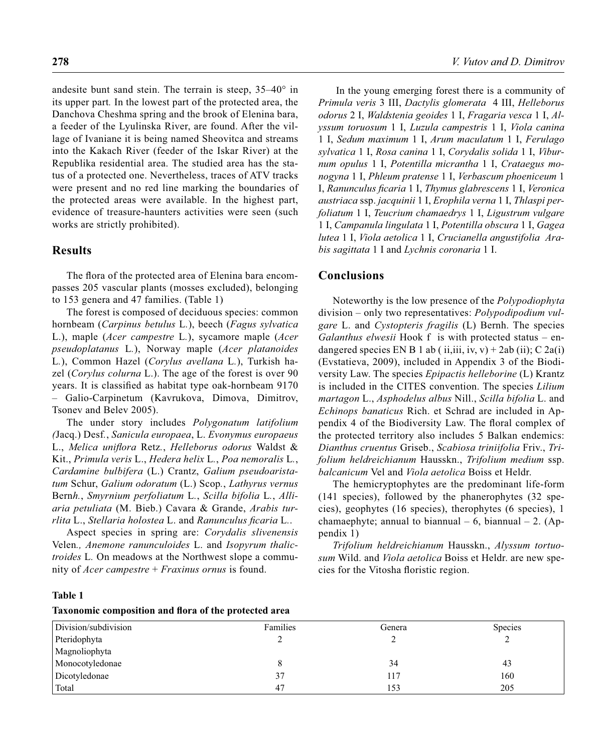andesite bunt sand stein. The terrain is steep, 35–40° in its upper part*.* In the lowest part of the protected area, the Danchova Cheshma spring and the brook of Elenina bara, a feeder of the Lyulinska River, are found. After the village of Ivaniane it is being named Sheovitca and streams into the Kakach River (feeder of the Iskar River) at the Republika residential area. The studied area has the status of a protected one. Nevertheless, traces of ATV tracks were present and no red line marking the boundaries of the protected areas were available. In the highest part, evidence of treasure-haunters activities were seen (such works are strictly prohibited).

## **Results**

The flora of the protected area of Elenina bara encompasses 205 vascular plants (mosses excluded), belonging to 153 genera and 47 families. (Table 1)

The forest is composed of deciduous species: common hornbeam (*Carpinus betulus* L*.*), beech (*Fagus sylvatica*  L.), maple (*Acer campestre* L*.*), sycamore maple (*Acer pseudoplatanus* L*.*), Norway maple (*Acer platanoides*  L*.*), Common Hazel (*Corylus avellana* L*.*), Turkish hazel (*Corylus colurna* L.). The age of the forest is over 90 years. It is classified as habitat type oak-hornbeam 9170 – Galio-Carpinetum (Kavrukova, Dimova, Dimitrov, Tsonev and Belev 2005).

The under story includes *Polygonatum latifolium (*Jacq.) Desf*.*, *Sanicula europaea*, L. *Evonymus europaeus*  L., *Melica unifl ora* Retz*.*, *Helleborus odorus* Waldst & Kit., *Primula veris* L., *Hedera helix* L*.*, *Poa nemoralis* L*.*, *Cardamine bulbifera* (L.) Crantz, *Galium pseudoaristatum* Schur, *Galium odoratum* (L.) Scop*.*, *Lathyrus vernus*  Bern*h.*, *Smyrnium perfoliatum* L*.*, *Scilla bifolia* L*.*, *Alliaria petuliata* (M. Bieb.) Cavara & Grande, *Arabis turrlita* L., *Stellaria holostea* L. and *Ranunculus ficaria* L..

Aspect species in spring are: *Corydalis slivenensis* Velen*., Anemone ranunculoides* L. and *Isopyrum thalictroides* L*.* On meadows at the Northwest slope a community of *Acer campestre* + *Fraxinus ornus* is found.

 In the young emerging forest there is a community of *Primula veris* 3 III, *Dactylis glomerata* 4 III, *Helleborus odorus* 2 I, *Waldstenia geoides* 1 I, *Fragaria vesca* 1 I, *Alyssum toruosum* 1 I, *Luzula campestris* 1 I, *Viola canina*  1 I, *Sedum maximum* 1 I, *Arum maculatum* 1 I, *Ferulago sylvatica* 1 I, *Rosa canina* 1 I, *Corydalis solida* 1 I, *Viburnum opulus* 1 I, *Potentilla micrantha* 1 I, *Crataegus monogyna* 1 I, *Phleum pratense* 1 I, *Verbascum phoeniceum* 1 I, *Ranunculus fi caria* 1 I, *Thymus glabrescens* 1 I, *Veronica austriaca* ssp. *jacquinii* 1 I, *Erophila verna* 1 I, *Thlaspi perfoliatum* 1 I, *Teucrium chamaedrys* 1 I, *Ligustrum vulgare*  1 I, *Campanula lingulata* 1 I, *Potentilla obscura* 1 I, *Gagea lutea* 1 I, *Viola aetolica* 1 I, *Crucianella angustifolia Arabis sagittata* 1 I and *Lychnis coronaria* 1 I.

### **Conclusions**

Noteworthy is the low presence of the *Polypodiophyta*  division – only two representatives: *Polypodipodium vulgare* L. and *Cystopteris fragilis* (L) Bernh. The species *Galanthus elwesii* Hook f is with protected status – endangered species EN B 1 ab (ii,iii, iv, v) + 2ab (ii); C 2a(i) (Evstatieva, 2009), included in Appendix 3 of the Biodiversity Law. The species *Epipactis helleborine* (L) Krantz is included in the CITES convention. The species *Lilium martagon* L., *Asphodelus albus* Nill., *Scilla bifolia* L. and *Echinops banaticus* Rich. et Schrad are included in Appendix 4 of the Biodiversity Law. The floral complex of the protected territory also includes 5 Balkan endemics: *Dianthus cruentus* Griseb., *Scabiosa triniifolia* Friv., *Trifolium heldreichianum* Hausskn., *Trifolium medium* ssp. *balcanicum* Vel and *Viola aetolica* Boiss et Heldr.

The hemicryptophytes are the predominant life-form (141 species), followed by the phanerophytes (32 species), geophytes (16 species), therophytes (6 species), 1 chamaephyte; annual to biannual – 6, biannual – 2. (Appendix 1)

*Trifolium heldreichianum* Hausskn., *Alyssum tortuosum* Wild. and *Viola aetolica* Boiss et Heldr. are new species for the Vitosha floristic region.

#### **Table 1**

#### Taxonomic composition and flora of the protected area

| Division/subdivision | Families | Genera | <b>Species</b> |
|----------------------|----------|--------|----------------|
| Pteridophyta         |          |        |                |
| Magnoliophyta        |          |        |                |
| Monocotyledonae      |          | 34     | 43             |
| Dicotyledonae        | 37       | 117    | 160            |
| Total                | 47       | 153    | 205            |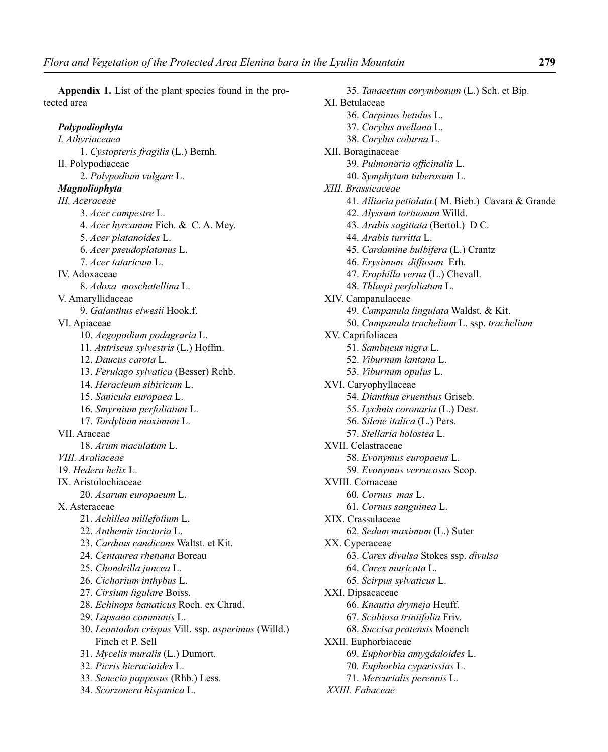**Appendix 1.** List of the plant species found in the protected area

### *Polypodiophyta*

*I. Athyriaceaea* 1. *Cystopteris fragilis* (L.) Bernh. II. Polypodiaceae 2. *Polypodium vulgare* L. *Magnoliophyta III. Aceraceae* 3. *Acer campestre* L. 4. *Acer hyrcanum* Fich. & C. A. Mey. 5. *Acer platanoides* L. 6. *Acer pseudoplatanus* L. 7. *Acer tataricum* L. IV. Adoxaceae 8. *Adoxa moschatellina* L. V. Amaryllidaceae 9. *Galanthus elwesii* Hook.f. VI. Apiaceae 10. *Aegopodium podagraria* L. 11*. Antriscus sylvestris* (L.) Hoffm. 12. *Daucus carota* L. 13. *Ferulago sylvatica* (Besser) Rchb. 14. *Heracleum sibiricum* L. 15. *Sanicula europaea* L. 16. *Smyrnium perfoliatum* L. 17. *Tordylium maximum* L. VII. Araceae 18. *Arum maculatum* L. *VIII. Araliaceae* 19. *Hedera helix* L. IX. Aristolochiaceae 20. *Asarum europaeum* L. X. Asteraceae 21. *Achillea millefolium* L. 22. *Anthemis tinctoria* L. 23. *Carduus candicans* Waltst. et Kit. 24. *Centaurea rhenana* Boreau 25. *Chondrilla juncea* L. 26. *Cichorium inthybus* L. 27. *Cirsium ligulare* Boiss. 28. *Echinops banaticus* Roch. ex Chrad. 29. *Lapsana communis* L. 30. *Leontodon crispus* Vill. ssp. *asperimus* (Willd.) Finch et P. Sell 31. *Mycelis muralis* (L.) Dumort. 32*. Picris hieracioides* L. 33*. Senecio papposus* (Rhb.) Less.

34. *Scorzonera hispanica* L.

 35. *Tanacetum corymbosum* (L.) Sch. et Bip. XI. Betulaceae 36. *Carpinus betulus* L. 37. *Corylus avellana* L. 38. *Corylus colurna* L. XII. Boraginaceae 39. Pulmonaria officinalis L. 40. *Symphytum tuberosum* L. *XIII. Brassicaceae* 41. *Alliaria petiolata*.( M. Bieb.) Cavara & Grande 42. *Alyssum tortuosum* Willd. 43. *Arabis sagittata* (Bertol.) D C. 44. *Arabis turritta* L. 45. *Cardamine bulbifera* (L.) Crantz 46. *Erysimum diffusum* Erh. 47. *Erophilla verna* (L.) Chevall. 48. *Thlaspi perfoliatum* L. XIV. Campanulaceae 49. *Campanula lingulata* Waldst. & Kit. 50. *Campanula trachelium* L. ssp. *trachelium* XV. Caprifoliacea 51. *Sambucus nigra* L. 52. *Viburnum lantana* L. 53. *Viburnum opulus* L. XVI. Caryophyllaceae 54. *Dianthus cruenthus* Griseb. 55. *Lychnis coronaria* (L.) Desr. 56. *Silene italica* (L.) Pers. 57. *Stellaria holostea* L. XVII. Celastraceae 58. *Evonymus europaeus* L. 59. *Evonymus verrucosus* Scop. XVIII. Cornaceae 60*. Cornus mas* L. 61*. Cornus sanguinea* L. XIX. Crassulaceae 62. *Sedum maximum* (L.) Suter XX. Cyperaceae 63. *Carex divulsa* Stokes ssp. *divulsa* 64. *Carex muricata* L. 65. *Scirpus sylvaticus* L. XXI. Dipsacaceae 66. *Knautia drymeja* Heuff. 67. *Scabiosa triniifolia* Friv. 68. *Succisa pratensis* Moench XXII. Euphorbiaceae 69. *Euphorbia amygdaloides* L. 70*. Euphorbia cyparissias* L. 71. *Mercurialis perennis* L.  *XXIII. Fabaceae*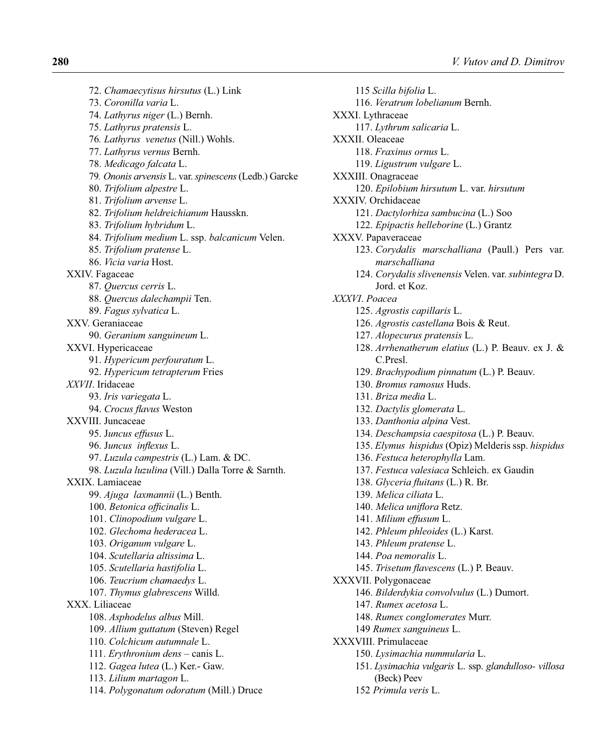72. *Chamaecytisus hirsutus* (L.) Link 73. *Coronilla varia* L. 74. *Lathyrus niger* (L.) Bernh. 75. *Lathyrus pratensis* L. 76*. Lathyrus venetus* (Nill.) Wohls. 77. *Lathyrus vernus* Bernh. 78. *Medicago falcata* L. 79*. Ononis arvensis* L. var. *spinescens* (Ledb.) Garcke 80. *Trifolium alpestre* L. 81. *Trifolium arvense* L. 82. *Trifolium heldreichianum* Hausskn. 83. *Trifolium hybridum* L. 84. *Trifolium medium* L. ssp. *balcanicum* Velen. 85. *Trifolium pratense* L. 86. *Vicia varia* Host. XXIV. Fagaceae 87. *Quercus cerris* L. 88. *Quercus dalechampii* Ten. 89. *Fagus sylvatica* L. XXV. Geraniaceae 90. *Geranium sanguineum* L. XXVI. Hypericaceae 91. *Hypericum perfouratum* L. 92. *Hypericum tetrapterum* Fries *XXVII*. Iridaceae 93. *Iris variegata* L. 94. *Crocus flavus* Weston XXVIII. Juncaceae 95. J*uncus effusus* L. 96. Juncus inflexus L. 97. *Luzula campestris* (L.) Lam. & DC. 98. *Luzula luzulina* (Vill.) Dalla Torre & Sarnth. XXIX. Lamiaceae 99. *Ajuga laxmannii* (L.) Benth. 100. Betonica officinalis L. 101. *Clinopodium vulgare* L. 102. *Glechoma hederacea* L. 103. *Origanum vulgare* L. 104. *Scutellaria altissima* L. 105. *Scutellaria hastifolia* L. 106. *Teucrium chamaedys* L. 107. *Thymus glabrescens* Willd. XXX. Liliaceae 108. *Asphodelus albus* Mill. 109. *Allium guttatum* (Steven) Regel 110. *Colchicum autumnale* L. 111. *Erythronium dens* – canis L. 112. *Gagea lutea* (L.) Ker.- Gaw. 113. *Lilium martagon* L. 114. *Polygonatum odoratum* (Mill.) Druce

 115 *Scilla bifolia* L. 116. *Veratrum lobelianum* Bernh. XXXI. Lythraceae 117. *Lythrum salicaria* L. XXXII. Oleaceae 118. *Fraxinus ornus* L. 119. *Ligustrum vulgare* L. XXXIII. Onagraceae 120. *Epilobium hirsutum* L. var. *hirsutum* XXXIV. Orchidaceae 121. *Dactylorhiza sambucina* (L.) Soo 122. *Epipactis helleborine* (L.) Grantz XXXV. Papaveraceae 123. *Corydalis marschalliana* (Paull.) Pers var. *marschalliana* 124. *Corydalis slivenensis* Velen. var. *subintegra* D. Jord. et Koz. *XXXVI*. *Poacea* 125. *Agrostis capillaris* L. 126. *Agrostis castellana* Bois & Reut. 127. *Alopecurus pratensis* L. 128. *Arrhenatherum elatius* (L.) P. Beauv. ex J. & C.Presl. 129. *Brachypodium pinnatum* (L.) P. Beauv. 130. *Bromus ramosus* Huds. 131. *Briza media* L. 132. *Dactylis glomerata* L. 133. *Danthonia alpina* Vest. 134. *Deschampsia caespitosa* (L.) P. Beauv. 135. *Elymus hispidus* (Opiz) Melderis ssp. *hispidus* 136. *Festuca heterophylla* Lam. 137. *Festuca valesiaca* Schleich. ex Gaudin 138. *Glyceria fluitans* (L.) R. Br. 139. *Melica ciliata* L. 140. Melica uniflora Retz. 141. *Milium effusum* L. 142. *Phleum phleoides* (L.) Karst. 143. *Phleum pratense* L. 144. *Poa nemoralis* L. 145. *Trisetum flavescens* (L.) P. Beauv. XXXVII. Polygonaceae 146. *Bilderdykia convolvulus* (L.) Dumort. 147. *Rumex acetosa* L. 148. *Rumex conglomerates* Murr. 149 *Rumex sanguineus* L. XXXVIII. Primulaceae 150. *Lysimachia nummularia* L. 151. *Lysimachia vulgaris* L. ssp. *glandulloso- villosa* (Beck) Peev 152 *Primula veris* L.